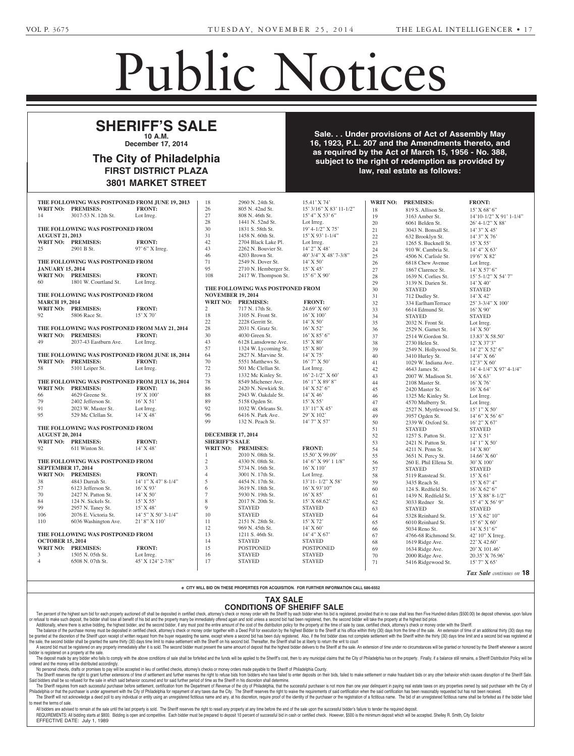## Public Notices

Corporate Notices

fective October 1, 1989, as

amended.

## <del>estate</del> **SHERIFF'S SALE**

**10 A.M. (a)** ecember 17, 2014 **KOWSKI)** -- Richard Piorkow-**December 17, 2014**

## Your attention is directed to The City of Philadelphia Estates and Fiduciaries Code FIRST DISTRICT PLAZA which requires advertisement 3801 MARKET STREET the name and address of the The City of Philadelphia FIRST DISTRICT PLAZA Torpey, Cassidy & O'Connell, **3801 MARKET STREET**

LLP, 2444 Huntingdon Pike,

**WILLIAMS, CHARLES** -- Mary

**MILLER, ANDREW L., (also known as ANDREW MILLER)** -- **Exclusive Dog Supplies, Inc.** hereby given notice that Articles Sale  $\overline{16}$  1023 D I  $\overline{207}$  and the Amendments i the  $\mathbf{10, 1}$ **as required by the Act of March 15, 1956 - No. 388,**  $\mathbf{u}$  eubject to the right of redemption as provided by sylvania Business Corporation Business Corporation Business Corporation Business Corporation Business Corporation Business Corporation Business Corporation Business Corporation Business Corporation Business Corporation Bus Law of 1988, approved December 21, 1988, P.L. 1444, No. 177, P.L. 1444, No. 177, P.L. 1444, No. 177, P.L. 1444, No. 177, P.L. 1444, No. 177, Philadelphia County Sale. . . Under provisions of Act of Assembly May 16, 1923, P.L. 207 and the Amendments thereto, and subject to the right of redemption as provided by **All and Taylor law, real estate as follows: law, real estate as follows:** McDowell, Known Surviving Heir of Christine McDowell, Deceased

Complaints

 $M_{\rm H}$  ,  $M_{\rm H}$  and  $R_{\rm H}$  and  $R_{\rm H}$  and  $R_{\rm H}$  and  $R_{\rm H}$  and  $R_{\rm H}$ Heir of Christine McDowell, Deceased Mortgagor and Real Owner,

|                                                               | WRIT NO: PREMISES:               | THE FOLLOWING WAS POSTPONED FROM JUNE 19, 2013<br><b>FRONT:</b> | 18<br>26                 | 2960 N. 24th St.<br>805 N. 42nd St. | 15.41' X 74'<br>15' 3/16" X 83' 11-1/2" |                    | WRIT NO: PREMISES:     | <b>FRONT:</b>                   |
|---------------------------------------------------------------|----------------------------------|-----------------------------------------------------------------|--------------------------|-------------------------------------|-----------------------------------------|--------------------|------------------------|---------------------------------|
|                                                               |                                  |                                                                 | 27                       |                                     |                                         | 18                 | 819 S. Allison St.     | $15'$ X 68' 6"                  |
| 14                                                            | 3017-53 N. 12th St.              | Lot Irreg.                                                      |                          | 808 N. 46th St.                     | $15'$ 4" X 53' 6"                       | 19                 | 3163 Amber St.         | $14'10-1/2''$ X 91' 1-1/4"      |
|                                                               |                                  |                                                                 | 28                       | 1441 N. 52nd St.                    | Lot Irreg.                              | 20                 | 6061 Belden St.        | $26' 4 - 1/2''$ X 88'           |
|                                                               | THE FOLLOWING WAS POSTPONED FROM |                                                                 | 30                       | 1831 S. 58th St.                    | 19' 4-1/2" X 75'                        | 21                 | 3043 N. Bonsall St.    | 14' 3" X 45'                    |
| <b>AUGUST 21, 2013</b>                                        |                                  |                                                                 | 31                       | 1458 N. 60th St.                    | $15'$ X 93' 1-1/4"                      | $22\,$             | 632 Brooklyn St.       | $14'3''$ X 76'                  |
|                                                               | <b>WRIT NO: PREMISES:</b>        | <b>FRONT:</b>                                                   | 42                       | 2704 Black Lake Pl.                 | Lot Irreg.                              | $23\,$             | 1265 S. Bucknell St.   | 15' X 55'                       |
| 25                                                            | 2901 B St.                       | 97' 6" X Irreg.                                                 | 43                       | 2262 N. Bouvier St.                 | 14' 2" X 48'                            | 24                 | 910 W. Cambria St.     | 14' 4'' X 63'                   |
|                                                               |                                  |                                                                 | 46                       | 4203 Brown St.                      | 40' 3/4" X 48' 7-3/8"                   | 25                 | 4506 N. Carlisle St.   | $19'6''$ X 82'                  |
| THE FOLLOWING WAS POSTPONED FROM                              |                                  |                                                                 | 71                       | 2549 N. Dover St.                   | 14' X 50'                               | 26                 | 6818 Chew Avenue       | Lot Irreg.                      |
| <b>JANUARY 15, 2014</b>                                       |                                  |                                                                 | 95                       | 2710 N. Hemberger St.               | $15'$ X 45'                             | 27                 | 1867 Clarence St.      | $14'$ X 57' 6"                  |
|                                                               | <b>WRIT NO: PREMISES:</b>        | <b>FRONT:</b>                                                   | 108                      | 2417 W. Thompson St.                | 15' 6" X 90'                            | 28                 | 1639 N. Corlies St.    | 15' 5-1/2" X 54' 7"             |
| 60                                                            | 1801 W. Courtland St.            | Lot Irreg.                                                      |                          |                                     |                                         | 29                 | 3139 N. Darien St.     | $14'$ X 40'                     |
|                                                               |                                  |                                                                 |                          | THE FOLLOWING WAS POSTPONED FROM    |                                         | 30                 | <b>STAYED</b>          | <b>STAYED</b>                   |
| THE FOLLOWING WAS POSTPONED FROM                              |                                  |                                                                 | <b>NOVEMBER 19, 2014</b> |                                     |                                         | 31                 | 712 Dudley St.         | 14' X 42'                       |
| <b>MARCH 19, 2014</b>                                         |                                  |                                                                 | WRIT NO: PREMISES:       | <b>FRONT:</b>                       | 32                                      | 334 EarlhamTerrace | 25' 3-3/4" X 100'      |                                 |
|                                                               | WRIT NO: PREMISES:               | <b>FRONT:</b>                                                   | 2                        | 717 N. 17th St.                     | 24.69' X 60'                            | 33                 | 6614 Edmund St.        | $16'$ X 90'                     |
| 92                                                            | 5806 Race St.                    | 15' X 70'                                                       | 18                       | 3105 N. Front St.                   | $16'$ X $100'$                          | 34                 | <b>STAYED</b>          | <b>STAYED</b>                   |
|                                                               |                                  |                                                                 | 22                       | 2228 Gerritt St.                    | $14'$ X 50'                             | 35                 | 2032 N. Front St.      |                                 |
|                                                               |                                  | THE FOLLOWING WAS POSTPONED FROM MAY 21, 2014                   | $28\,$                   | 2031 N. Gratz St.                   | $16'$ X 52'                             | 36                 |                        | Lot Irreg.<br>$14'$ X 50'       |
|                                                               | <b>WRIT NO: PREMISES:</b>        | <b>FRONT:</b>                                                   | 30                       | 4030 Green St.                      | $16'$ X $85'$ 6"                        |                    | 2529 N. Garnet St.     |                                 |
| 49                                                            | 2037-43 Eastburn Ave.            | Lot Irreg.                                                      | 43                       | 6128 Lansdowne Ave.                 | 15' X 80'                               | 37                 | 2514 W.Gordon St.      | 13.83' X 58.50'                 |
|                                                               |                                  |                                                                 | 57                       |                                     | 15' X 80'                               | 38                 | 2730 Helen St.         | 12' X 37'3"                     |
|                                                               |                                  |                                                                 |                          | 1324 W. Lycoming St.                |                                         | 39                 | 2549 N. Hollywood St.  | 14' 2" X 52' 6"                 |
|                                                               |                                  | THE FOLLOWING WAS POSTPONED FROM JUNE 18, 2014                  | 64                       | 2827 N. Marvine St.                 | $14'$ X 75'                             | 40                 | 3410 Hurley St.        | $14'4''$ X 66'                  |
|                                                               | <b>WRIT NO: PREMISES:</b>        | <b>FRONT:</b>                                                   | 70                       | 5551 Matthews St.                   | $16'7''$ X 50'                          | 41                 | 1029 W. Indiana Ave.   | $12'3''$ X 60'                  |
| 58                                                            | 5101 Leiper St.                  | Lot Irreg.                                                      | $72\,$                   | 501 Mc Clellan St.                  | Lot Irreg.                              | 42                 | 4643 James St.         | 14' 4-1/4" X 97' 4-1/4"         |
|                                                               |                                  |                                                                 | 73                       | 1332 Mc Kinley St.                  | $16'$ 2-1/2" X 60'                      | 43                 | 2007 W. Madison St.    | $16'$ X 63'                     |
|                                                               |                                  | THE FOLLOWING WAS POSTPONED FROM JULY 16, 2014                  | 78                       | 8549 Michener Ave.                  | 16' 1" X 89' 8"                         | 44                 | 2108 Master St.        | $16'$ X 76'                     |
|                                                               | <b>WRIT NO: PREMISES:</b>        | <b>FRONT:</b>                                                   | 86                       | 2420 N. Newkirk St.                 | 14' X 52' 6"                            | 45                 | 2420 Master St.        | $16'$ X 64'                     |
| 66                                                            | 4629 Greene St.                  | 19' X 100'                                                      | 88                       | 2943 W. Oakdale St.                 | $14'$ X 46'                             | 46                 | 1325 Mc Kinley St.     | Lot Irreg.                      |
| 79                                                            | 2402 Jefferson St.               | $16'$ X 51'                                                     | 89                       | 5158 Ogden St.                      | $15'$ X 55'                             | 47                 | 4570 Mulberry St.      | Lot Irreg.                      |
| 91                                                            | 2023 W. Master St.               | Lot Irreg.                                                      | 92                       | 1032 W. Orleans St.                 | 13' 11" X 45'                           | 48                 | 2527 N. Myrtlewood St. | $15'1''$ X 50'                  |
| 95                                                            | 529 Mc Clellan St.               | $14'$ X 48 <sup><math>\overline{)}</math></sup>                 | 96                       | 6416 N. Park Ave.                   | 29' X 102'                              | 49                 | 3957 Ogden St.         | 14' 6" X 56' 6"                 |
|                                                               |                                  |                                                                 | 99                       | 132 N. Peach St.                    | 14' 7" X 57'                            | 50                 | 2339 W. Oxford St.     | 16' 2" X 67'                    |
| THE FOLLOWING WAS POSTPONED FROM                              |                                  |                                                                 |                          |                                     |                                         | 51                 | <b>STAYED</b>          | <b>STAYED</b>                   |
| <b>AUGUST 20, 2014</b>                                        |                                  |                                                                 | <b>DECEMBER 17, 2014</b> |                                     |                                         | 52                 | 1257 S. Patton St.     | $12'$ X 51'                     |
|                                                               | <b>WRIT NO: PREMISES:</b>        | <b>FRONT:</b>                                                   | <b>SHERIFF'S SALE</b>    |                                     |                                         | 53                 | 2421 N. Patton St.     | $14'1''$ X 50'                  |
| 92                                                            | 611 Winton St.                   | $14'$ X 48'                                                     |                          | WRIT NO: PREMISES:                  | <b>FRONT:</b>                           | 54                 | 4211 N. Penn St.       | $14'$ X 80'                     |
|                                                               |                                  |                                                                 | 1                        | 2010 N. 08th St.                    | 15.50' X 99.09'                         | 55                 | 3651 N. Percy St.      | $14.66'$ X 60'                  |
|                                                               |                                  |                                                                 | $\boldsymbol{2}$         | 4330 N. 08th St.                    | $14'$ 6" X 99' 1 1/8"                   | 56                 |                        |                                 |
| THE FOLLOWING WAS POSTPONED FROM<br><b>SEPTEMBER 17, 2014</b> |                                  |                                                                 | 3                        | 5734 N. 16th St.                    | $16'$ X $110'$                          |                    | 260 E. Phil Ellena St. | 30' X 100'                      |
|                                                               | <b>WRIT NO: PREMISES:</b>        | <b>FRONT:</b>                                                   | $\overline{4}$           |                                     |                                         | 57                 | <b>STAYED</b>          | <b>STAYED</b>                   |
|                                                               |                                  |                                                                 |                          | 3001 N. 17th St.                    | Lot Irreg.                              | 58                 | 5119 Ranstead St.      | $15'$ X 61'                     |
| 38                                                            | 4843 Darrah St.                  | $14'1''$ X 47' 8-1/4"                                           | 5                        | 4454 N. 17th St.                    | $13'11 - 1/2''$ X 58'                   | 59                 | 3435 Reach St.         | $15'$ X 67' 4"                  |
| 57                                                            | 6123 Jefferson St.               | 16' X 93'                                                       | 6                        | 3619 N. 18th St.                    | 16' X 93'10"                            | 60                 | 124 S. Redfield St.    | $16'$ X 62' 6"                  |
| 70                                                            | 2427 N. Patton St.               | 14' X 50'                                                       | $7\phantom{.0}$          | 5930 N. 19th St.                    | $16'$ X 85'                             | 61                 | 1439 N. Redfield St.   | 15' X 88' 8-1/2"                |
| 84                                                            | 124 N. Sickels St.               | 15' X 55'                                                       | 8                        | 2017 N. 20th St.                    | 15' X 68.62'                            | 62                 | 3033 Redner St.        | $15'$ 4" X 56' 9"               |
| 99                                                            | 2957 N. Taney St.                | 15' X 48'                                                       | 9                        | <b>STAYED</b>                       | <b>STAYED</b>                           | 63                 | <b>STAYED</b>          | <b>STAYED</b>                   |
| 106                                                           | 2076 E. Victoria St.             | $14'$ 5" X 50' 3-1/4"                                           | 10                       | <b>STAYED</b>                       | <b>STAYED</b>                           | 64                 | 5328 Reinhard St.      | $15'$ X 62' 10"                 |
| 110                                                           | 6036 Washington Ave.             | $21'8''$ X 110'                                                 | 11                       | 2151 N. 28th St.                    | $15'$ X 72'                             | 65                 | 6010 Reinhard St.      | $15'6''$ X 60'                  |
|                                                               |                                  |                                                                 | 12                       | 969 N. 45th St.                     | $14'$ X 60'                             | 66                 | 5034 Reno St.          | 14' X 51' 6"                    |
| THE FOLLOWING WAS POSTPONED FROM<br><b>OCTOBER 15, 2014</b>   |                                  |                                                                 | 13                       | 1211 S. 46th St.                    | 14' 4'' X 67'                           | 67                 | 4766-68 Richmond St.   | $42'10''$ X Irreg.              |
|                                                               |                                  |                                                                 | 14                       | <b>STAYED</b>                       | <b>STAYED</b>                           | 68                 | 1619 Ridge Ave.        | 22' X 42.60'                    |
|                                                               | WRIT NO: PREMISES:               | <b>FRONT:</b>                                                   | 15                       | <b>POSTPONED</b>                    | POSTPONED                               | 69                 | 1634 Ridge Ave.        | 20' X 101.46'                   |
| 3                                                             | 1505 N. 05th St.                 | Lot Irreg.                                                      | 16                       | <b>STAYED</b>                       | <b>STAYED</b>                           | 70                 | 2000 Ridge Ave.        |                                 |
|                                                               | 6508 N. 07th St.                 | 45' X 124' 2-7/8"                                               | 17                       | <b>STAYED</b>                       | <b>STAYED</b>                           | 71                 | 5416 Ridgewood St.     | 20.35' X 76.96'<br>15' 7" X 65' |
| $\overline{4}$                                                |                                  |                                                                 |                          |                                     |                                         |                    |                        |                                 |

**e CITY WILL BID ON THESE PROPERTIES FOR ACQUISITION. FOR FURTHER INFORMATION CALL 686-6552**

## **TAX SALE CONDITIONS OF SHERIFF SALE**

Roslyn Murphy, Administratrix, Ten percent of the highest sum bid for each proper or refusal to make such deposit, the bidder shall lose all benefit of his bid and the property many be immediately offered again and sold unless a second bid had been registered, then, the second bidder will take the prope Additionally, where there is active bidding, the highest bidder, and the second bidder, if any must post the entire amount of the cost of the distribution policy for the property at the time of sale by case, certified chec Ten percent of the highest sum bid for each property auctioned off shall be deposited in certified check, attorney's check or money order with the Sheriff by each bidder when his bid is registered, provided that in no case

The balance of the purchase money thus to deposited in certified check, attorney's check or money order together with a Deed Poll for execution by the highest Bidder to the Shiff at his office within thirty (30) days from I be granted at the discretion of the Shell that the contribution request from the buyer requesting the second but as been duly registered at the first bid and but the shell the shell the shell the shell the shell that the alle, the second bidduct stail be granted the same thing (buy adys thre milit to make seltented) with the Shellin of mis second bidder must present the same amount of deposit that the highest bidder delivers to the Sheriff the sale, the second bidder shall be granted the same thirty (30) days time limit to make settlement with the Sheriff on his second bid. Thereafter, the Sheriff shall be at liberty to return the writ to court

The deposit made by any bidder who fails to comply with the above conditions of sale shall be forfeited and the funds will be applied to the Sheriff's cost, then to any municipal claims that the City of Philadelphia has on bidder is registered on a property at the sale.

**ORANGE AND IN A STATE OF A STATE OF A STATE OF STATE OF PROPERTY** CONSIDERS A STATE OF PROPERTY OF PROPERTY. Joseph Zielinski and Deborah No personal checks, drafts or promises to pay will be accepted in lieu of certified checks, attorney's checks or money orders made payable to the Sheriff of Philadelphia County.<br>The Sheriff received the sheriff urban conte

No personal checks, drans or promises to pay will be accepted in lieu of certined checks, attorney schecks or money orders made payable to the Sheriff or Philadelphia County.<br>The Sheriff reserves the right to grant further Ine Sheriff reserves the right to grant further extensions of time of settlement and further reserves the right to refuse blus from bidders who have failed to the sale in which said behavior occurred and for said further p

The Sheriff requires from each successful purchaser before settlement, certification from the Department of Revenue of the city of Philadelphia, that the successful purchaser is not more than one year delinquent in paying Philadelphia or that the purchaser is under agreement with the City of Philadelphia for repayment of any taxes due the City. The Sheriff reserves the right to waive the requirements of said certification when the said cert The Sheriff will not acknowledge a deed poll to any individual or entity using an unregistered fictitious name and a to meet the terms of sale. The Sheriff will not acknowledge a deed poll to any individual or entity using an unregistered fictitious name and any, at his discretion, require proof of the identity of the purchaser or the registration of a fictitious

All bidders are advised to remain at the sale until the last property is sold. The Sheriff reserves the right to resell any property at any time before the end of the sale upon the successful bidder's failure to tender the REQUIREMENTS: All bidding starts at \$800. Bidding is open and competitive. Each bidder must be prepared to deposit 10 percent of successful bid in cash or certified check. However, \$500 is the minimum deposit which will be EFFECTIVE DATE: July 1, 1989